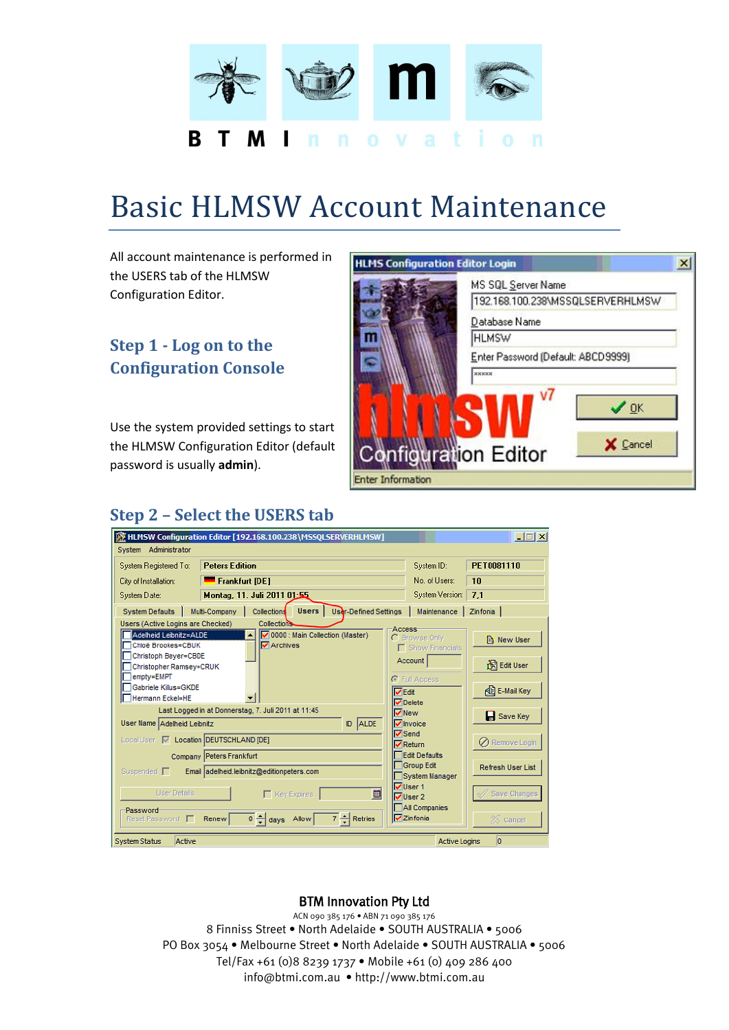

# Basic HLMSW Account Maintenance

All account maintenance is performed in the USERS tab of the HLMSW Configuration Editor.

## **Step 1 - Log on to the Configuration Console**

Use the system provided settings to start the HLMSW Configuration Editor (default password is usually **admin**).



## **Step 2 – Select the USERS tab**

|                                                                                                                                                                                                                                                                                                                                  | MEMSW Configuration Editor [192.168.100.238\MSSQLSERVERHLMSW]                                                                                                                                                                                            |                                                                                                                                                                                                                                                                                                                                         | $\Box$ $\Box$ $\times$                                                                                                                     |  |  |  |  |
|----------------------------------------------------------------------------------------------------------------------------------------------------------------------------------------------------------------------------------------------------------------------------------------------------------------------------------|----------------------------------------------------------------------------------------------------------------------------------------------------------------------------------------------------------------------------------------------------------|-----------------------------------------------------------------------------------------------------------------------------------------------------------------------------------------------------------------------------------------------------------------------------------------------------------------------------------------|--------------------------------------------------------------------------------------------------------------------------------------------|--|--|--|--|
| System Administrator                                                                                                                                                                                                                                                                                                             |                                                                                                                                                                                                                                                          |                                                                                                                                                                                                                                                                                                                                         |                                                                                                                                            |  |  |  |  |
| System Registered To:                                                                                                                                                                                                                                                                                                            | <b>Peters Edition</b>                                                                                                                                                                                                                                    | System ID:                                                                                                                                                                                                                                                                                                                              | PET0081110                                                                                                                                 |  |  |  |  |
| City of Installation:                                                                                                                                                                                                                                                                                                            | <b>Frankfurt [DE]</b>                                                                                                                                                                                                                                    | No. of Users:                                                                                                                                                                                                                                                                                                                           | 10                                                                                                                                         |  |  |  |  |
| System Date:                                                                                                                                                                                                                                                                                                                     | Montag, 11. Juli 2011 01:55                                                                                                                                                                                                                              | System Version:                                                                                                                                                                                                                                                                                                                         | 7.1                                                                                                                                        |  |  |  |  |
| System Defaults                                                                                                                                                                                                                                                                                                                  | Users   User-Defined Settings<br>Multi-Company<br><b>Collections</b>                                                                                                                                                                                     | Maintenance                                                                                                                                                                                                                                                                                                                             | Zinfonia                                                                                                                                   |  |  |  |  |
| Users (Active Logins are Checked)<br>Adelheid Leibnitz=ALDE<br>Chloë Brookes=CBUK<br>Christoph Beyer=CBDE<br>Christopher Ramsey=CRUK<br>empty=EMPT<br>Gabriele Killus=GKDE<br>Hermann Eckel=HE<br>User Name Adelheid Leibnitz<br>Local User V Location DEUTSCHLAND [DE]<br>Suspended [<br><b>User Details</b><br><b>Password</b> | Collections<br>Ⅳ 0000 : Main Collection (Master)<br>ᅬ<br><b>V</b> Archives<br>Last Logged in at Donnerstag, 7. Juli 2011 at 11:45<br>D ALDE<br><b>Company Peters Frankfurt</b><br>Email adelheid.leibnitz@editionpeters.com<br>圖<br>$\Gamma$ Key Expires | Access-<br>C Browse Only<br><b>F</b> Show Financials<br>Account<br><b>G</b> Full Access<br><b>V</b> Edit<br>$\overline{\mathbf{V}}$ Delete<br><b>V</b> New<br>$\nabla$ Invoice<br>$\nabla$ Send<br>$\nabla$ Return<br><b>Edit Defaults</b><br>Group Edit<br>System Manager<br>$\nabla$ User 1<br>$\overline{V}$ User 2<br>All Companies | <b>RA</b> New User<br>Edit User<br>de E-Mail Key<br><b>E</b> Save Key<br>◯ Remove Login<br><b>Refresh User List</b><br><b>Save Changes</b> |  |  |  |  |
| Reset Password                                                                                                                                                                                                                                                                                                                   | $7 -$ Retries<br>$0 - \frac{1}{2}$ days Allow<br><b>Renew</b>                                                                                                                                                                                            | <b>V</b> Zinfonia                                                                                                                                                                                                                                                                                                                       | $\S$ Cancel                                                                                                                                |  |  |  |  |
| <b>System Status</b><br>Active<br><b>Active Logins</b><br>ю                                                                                                                                                                                                                                                                      |                                                                                                                                                                                                                                                          |                                                                                                                                                                                                                                                                                                                                         |                                                                                                                                            |  |  |  |  |

#### BTM Innovation Pty Ltd

ACN 090 385 176 • ABN 71 090 385 176 8 Finniss Street • North Adelaide • SOUTH AUSTRALIA • 5006 PO Box 3054 • Melbourne Street • North Adelaide • SOUTH AUSTRALIA • 5006 Tel/Fax +61 (0)8 8239 1737 • Mobile +61 (0) 409 286 400 info@btmi.com.au • http://www.btmi.com.au